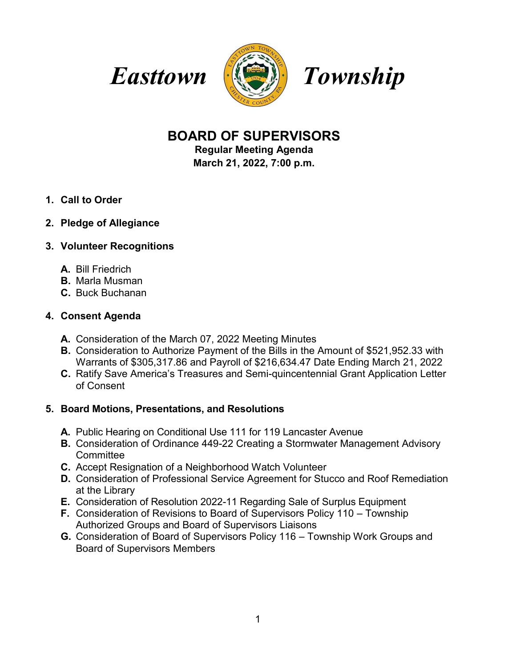



# **BOARD OF SUPERVISORS**

**Regular Meeting Agenda March 21, 2022, 7:00 p.m.**

- **1. Call to Order**
- **2. Pledge of Allegiance**

# **3. Volunteer Recognitions**

- **A.** Bill Friedrich
- **B.** Marla Musman
- **C.** Buck Buchanan

# **4. Consent Agenda**

- **A.** Consideration of the March 07, 2022 Meeting Minutes
- **B.** Consideration to Authorize Payment of the Bills in the Amount of \$521,952.33 with Warrants of \$305,317.86 and Payroll of \$216,634.47 Date Ending March 21, 2022
- **C.** Ratify Save America's Treasures and Semi-quincentennial Grant Application Letter of Consent

# **5. Board Motions, Presentations, and Resolutions**

- **A.** Public Hearing on Conditional Use 111 for 119 Lancaster Avenue
- **B.** Consideration of Ordinance 449-22 Creating a Stormwater Management Advisory **Committee**
- **C.** Accept Resignation of a Neighborhood Watch Volunteer
- **D.** Consideration of Professional Service Agreement for Stucco and Roof Remediation at the Library
- **E.** Consideration of Resolution 2022-11 Regarding Sale of Surplus Equipment
- **F.** Consideration of Revisions to Board of Supervisors Policy 110 Township Authorized Groups and Board of Supervisors Liaisons
- **G.** Consideration of Board of Supervisors Policy 116 Township Work Groups and Board of Supervisors Members